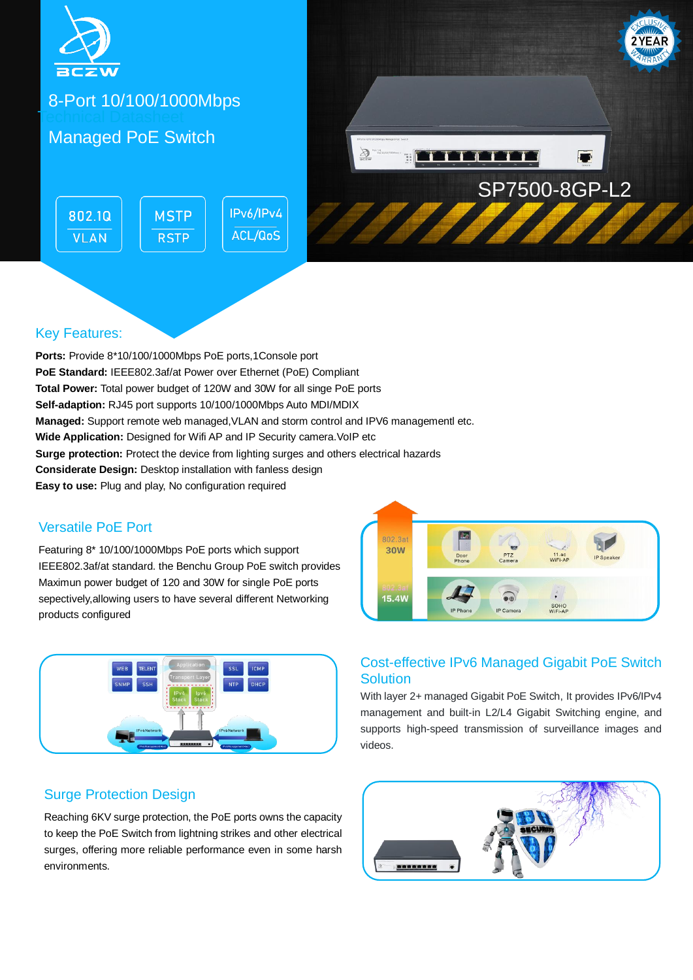

8-Port 10/100/1000Mbps Technical Datasheet

## Managed PoE Switch

IPv6/IPv4 802.10 **MSTP** ACL/QoS **VLAN RSTP** 



### Key Features:

**Ports:** Provide 8\*10/100/1000Mbps PoE ports,1Console port **PoE Standard:** IEEE802.3af/at Power over Ethernet (PoE) Compliant **Total Power:** Total power budget of 120W and 30W for all singe PoE ports **Self-adaption:** RJ45 port supports 10/100/1000Mbps Auto MDI/MDIX **Managed:** Support remote web managed,VLAN and storm control and IPV6 managementl etc. **Wide Application:** Designed for Wifi AP and IP Security camera.VoIP etc **Surge protection:** Protect the device from lighting surges and others electrical hazards **Considerate Design:** Desktop installation with fanless design **Easy to use:** Plug and play, No configuration required

#### Versatile PoE Port

Featuring 8\* 10/100/1000Mbps PoE ports which support IEEE802.3af/at standard. the Benchu Group PoE switch provides Maximun power budget of 120 and 30W for single PoE ports sepectively,allowing users to have several different Networking products configured



## **Solution** With layer 2+ managed Gigabit PoE Switch, It provides IPv6/IPv4

802.3a **30W** 

**15.4W** 

management and built-in L2/L4 Gigabit Switching engine, and supports high-speed transmission of surveillance images and videos.

Cost-effective IPv6 Managed Gigabit PoE Switch

PTZ<br>Came

.

IP Camera

 $\overline{\mathcal{L}}$ 

11.ac<br>WiFi-A

SOHO<br>WiFi-AP

### Surge Protection Design

Reaching 6KV surge protection, the PoE ports owns the capacity to keep the PoE Switch from lightning strikes and other electrical surges, offering more reliable performance even in some harsh environments.

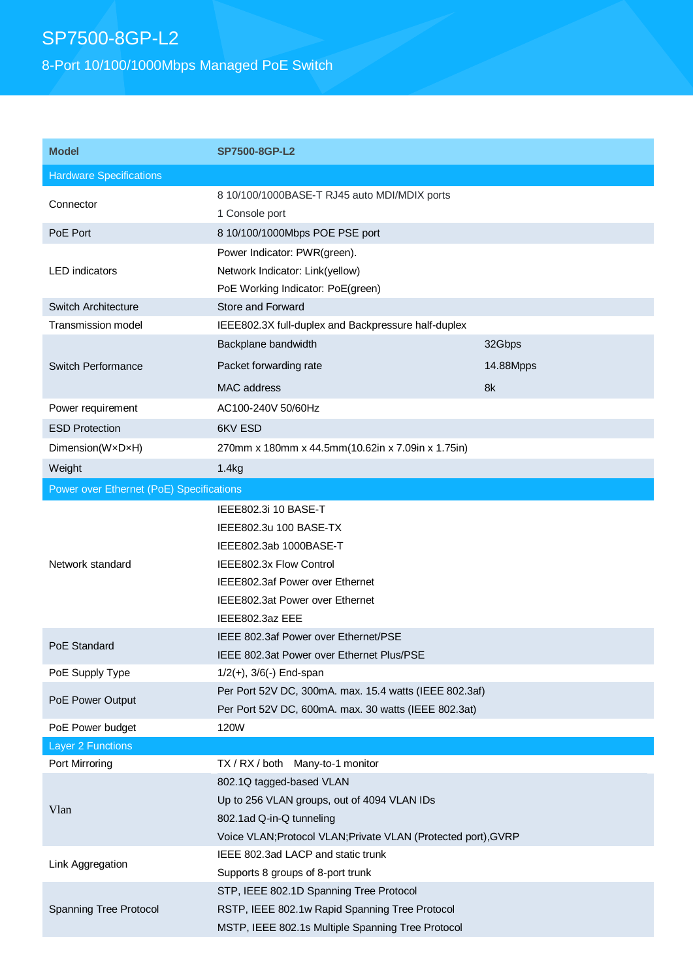# SP7500-8GP-L2

8-Port 10/100/1000Mbps Managed PoE Switch

| <b>Model</b>                             | <b>SP7500-8GP-L2</b>                                                     |           |  |
|------------------------------------------|--------------------------------------------------------------------------|-----------|--|
| <b>Hardware Specifications</b>           |                                                                          |           |  |
| Connector                                | 8 10/100/1000BASE-T RJ45 auto MDI/MDIX ports<br>1 Console port           |           |  |
| PoE Port                                 | 8 10/100/1000Mbps POE PSE port                                           |           |  |
|                                          | Power Indicator: PWR(green).                                             |           |  |
| <b>LED</b> indicators                    | Network Indicator: Link(yellow)                                          |           |  |
| <b>Switch Architecture</b>               | PoE Working Indicator: PoE(green)                                        |           |  |
| <b>Transmission model</b>                | Store and Forward<br>IEEE802.3X full-duplex and Backpressure half-duplex |           |  |
|                                          | Backplane bandwidth                                                      | 32Gbps    |  |
|                                          |                                                                          |           |  |
| Switch Performance                       | Packet forwarding rate                                                   | 14.88Mpps |  |
|                                          | MAC address                                                              | 8k        |  |
| Power requirement                        | AC100-240V 50/60Hz                                                       |           |  |
| <b>ESD Protection</b>                    | 6KV ESD                                                                  |           |  |
| Dimension(WxDxH)                         | 270mm x 180mm x 44.5mm(10.62in x 7.09in x 1.75in)                        |           |  |
| Weight                                   | 1.4kg                                                                    |           |  |
| Power over Ethernet (PoE) Specifications |                                                                          |           |  |
|                                          | IEEE802.3i 10 BASE-T                                                     |           |  |
|                                          | IEEE802.3u 100 BASE-TX                                                   |           |  |
|                                          | IEEE802.3ab 1000BASE-T                                                   |           |  |
| Network standard                         | IEEE802.3x Flow Control                                                  |           |  |
|                                          | IEEE802.3af Power over Ethernet                                          |           |  |
|                                          | IEEE802.3at Power over Ethernet                                          |           |  |
|                                          | IEEE802.3az EEE                                                          |           |  |
| PoE Standard                             | IEEE 802.3af Power over Ethernet/PSE                                     |           |  |
|                                          | IEEE 802.3at Power over Ethernet Plus/PSE                                |           |  |
| PoE Supply Type                          | $1/2(+)$ , $3/6(-)$ End-span                                             |           |  |
| PoE Power Output                         | Per Port 52V DC, 300mA. max. 15.4 watts (IEEE 802.3af)                   |           |  |
|                                          | Per Port 52V DC, 600mA. max. 30 watts (IEEE 802.3at)                     |           |  |
| PoE Power budget                         | 120W                                                                     |           |  |
| <b>Layer 2 Functions</b>                 |                                                                          |           |  |
| Port Mirroring                           | TX / RX / both Many-to-1 monitor                                         |           |  |
| Vlan                                     | 802.1Q tagged-based VLAN                                                 |           |  |
|                                          | Up to 256 VLAN groups, out of 4094 VLAN IDs                              |           |  |
|                                          | 802.1ad Q-in-Q tunneling                                                 |           |  |
|                                          | Voice VLAN; Protocol VLAN; Private VLAN (Protected port), GVRP           |           |  |
| Link Aggregation                         | IEEE 802.3ad LACP and static trunk                                       |           |  |
|                                          | Supports 8 groups of 8-port trunk                                        |           |  |
| <b>Spanning Tree Protocol</b>            | STP, IEEE 802.1D Spanning Tree Protocol                                  |           |  |
|                                          | RSTP, IEEE 802.1w Rapid Spanning Tree Protocol                           |           |  |
|                                          | MSTP, IEEE 802.1s Multiple Spanning Tree Protocol                        |           |  |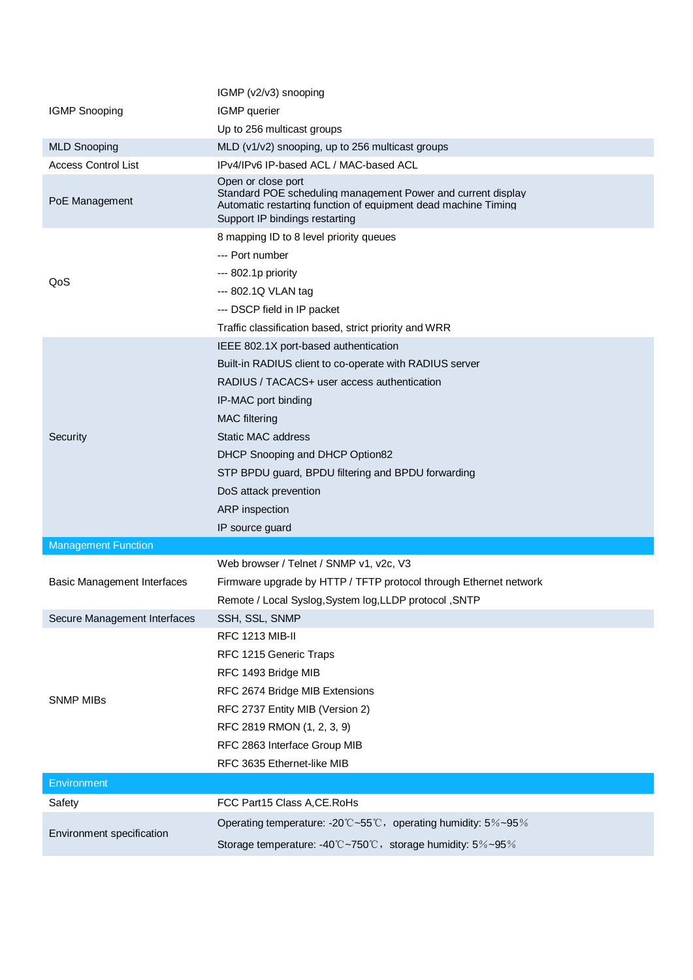|                                    | IGMP (v2/v3) snooping                                                                                                                                                                  |  |  |
|------------------------------------|----------------------------------------------------------------------------------------------------------------------------------------------------------------------------------------|--|--|
| <b>IGMP Snooping</b>               | IGMP querier                                                                                                                                                                           |  |  |
|                                    | Up to 256 multicast groups                                                                                                                                                             |  |  |
| <b>MLD Snooping</b>                | MLD (v1/v2) snooping, up to 256 multicast groups                                                                                                                                       |  |  |
| <b>Access Control List</b>         | IPv4/IPv6 IP-based ACL / MAC-based ACL                                                                                                                                                 |  |  |
| PoE Management                     | Open or close port<br>Standard POE scheduling management Power and current display<br>Automatic restarting function of equipment dead machine Timing<br>Support IP bindings restarting |  |  |
| QoS                                | 8 mapping ID to 8 level priority queues                                                                                                                                                |  |  |
|                                    | --- Port number                                                                                                                                                                        |  |  |
|                                    | --- 802.1p priority                                                                                                                                                                    |  |  |
|                                    | --- 802.1Q VLAN tag                                                                                                                                                                    |  |  |
|                                    | --- DSCP field in IP packet                                                                                                                                                            |  |  |
|                                    | Traffic classification based, strict priority and WRR                                                                                                                                  |  |  |
|                                    | IEEE 802.1X port-based authentication                                                                                                                                                  |  |  |
|                                    | Built-in RADIUS client to co-operate with RADIUS server                                                                                                                                |  |  |
|                                    | RADIUS / TACACS+ user access authentication                                                                                                                                            |  |  |
|                                    | IP-MAC port binding                                                                                                                                                                    |  |  |
|                                    | <b>MAC</b> filtering                                                                                                                                                                   |  |  |
| Security                           | <b>Static MAC address</b>                                                                                                                                                              |  |  |
|                                    | DHCP Snooping and DHCP Option82                                                                                                                                                        |  |  |
|                                    | STP BPDU guard, BPDU filtering and BPDU forwarding                                                                                                                                     |  |  |
|                                    | DoS attack prevention                                                                                                                                                                  |  |  |
|                                    | <b>ARP</b> inspection                                                                                                                                                                  |  |  |
|                                    | IP source guard                                                                                                                                                                        |  |  |
| <b>Management Function</b>         |                                                                                                                                                                                        |  |  |
| <b>Basic Management Interfaces</b> | Web browser / Telnet / SNMP v1, v2c, V3                                                                                                                                                |  |  |
|                                    | Firmware upgrade by HTTP / TFTP protocol through Ethernet network                                                                                                                      |  |  |
|                                    | Remote / Local Syslog, System log, LLDP protocol, SNTP                                                                                                                                 |  |  |
| Secure Management Interfaces       | SSH, SSL, SNMP                                                                                                                                                                         |  |  |
|                                    | <b>RFC 1213 MIB-II</b>                                                                                                                                                                 |  |  |
|                                    | RFC 1215 Generic Traps                                                                                                                                                                 |  |  |
|                                    | RFC 1493 Bridge MIB                                                                                                                                                                    |  |  |
| <b>SNMP MIBs</b>                   | RFC 2674 Bridge MIB Extensions                                                                                                                                                         |  |  |
|                                    | RFC 2737 Entity MIB (Version 2)                                                                                                                                                        |  |  |
|                                    |                                                                                                                                                                                        |  |  |
|                                    | RFC 2819 RMON (1, 2, 3, 9)                                                                                                                                                             |  |  |
|                                    | RFC 2863 Interface Group MIB                                                                                                                                                           |  |  |
|                                    | RFC 3635 Ethernet-like MIB                                                                                                                                                             |  |  |
| Environment                        |                                                                                                                                                                                        |  |  |
| Safety                             | FCC Part15 Class A, CE. RoHs                                                                                                                                                           |  |  |
| Environment specification          | Operating temperature: -20°C~55°C, operating humidity: $5\%$ ~95%                                                                                                                      |  |  |